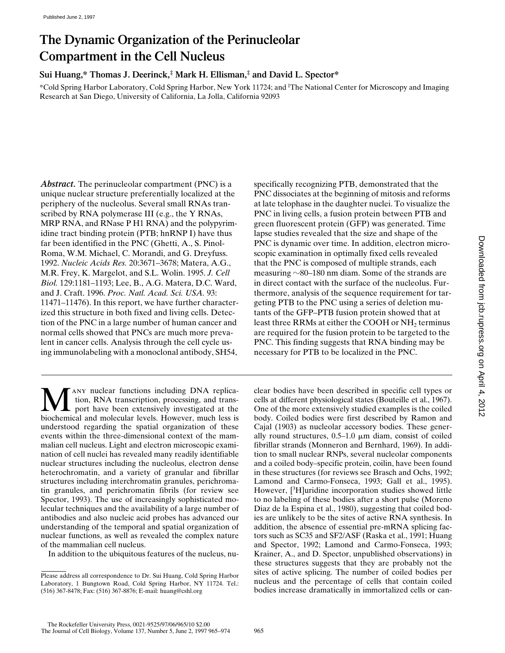# **The Dynamic Organization of the Perinucleolar Compartment in the Cell Nucleus**

**Sui Huang,\* Thomas J. Deerinck,‡ Mark H. Ellisman,‡ and David L. Spector\***

\*Cold Spring Harbor Laboratory, Cold Spring Harbor, New York 11724; and ‡ The National Center for Microscopy and Imaging Research at San Diego, University of California, La Jolla, California 92093

Abstract. The perinucleolar compartment (PNC) is a unique nuclear structure preferentially localized at the periphery of the nucleolus. Several small RNAs transcribed by RNA polymerase III (e.g., the Y RNAs, MRP RNA, and RNase P H1 RNA) and the polypyrimidine tract binding protein (PTB; hnRNP I) have thus far been identified in the PNC (Ghetti, A., S. Pinol-Roma, W.M. Michael, C. Morandi, and G. Dreyfuss. 1992. *Nucleic Acids Res.* 20:3671–3678; Matera, A.G., M.R. Frey, K. Margelot, and S.L. Wolin. 1995. *J. Cell Biol.* 129:1181–1193; Lee, B., A.G. Matera, D.C. Ward, and J. Craft. 1996. *Proc. Natl. Acad. Sci. USA.* 93: 11471–11476). In this report, we have further characterized this structure in both fixed and living cells. Detection of the PNC in a large number of human cancer and normal cells showed that PNCs are much more prevalent in cancer cells. Analysis through the cell cycle using immunolabeling with a monoclonal antibody, SH54,

**MANY nuclear functions including DNA replication**, RNA transcription, processing, and transferred and molecular levels. However much less is tion, RNA transcription, processing, and transport have been extensively investigated at the biochemical and molecular levels. However, much less is understood regarding the spatial organization of these events within the three-dimensional context of the mammalian cell nucleus. Light and electron microscopic examination of cell nuclei has revealed many readily identifiable nuclear structures including the nucleolus, electron dense heterochromatin, and a variety of granular and fibrillar structures including interchromatin granules, perichromatin granules, and perichromatin fibrils (for review see Spector, 1993). The use of increasingly sophisticated molecular techniques and the availability of a large number of antibodies and also nucleic acid probes has advanced our understanding of the temporal and spatial organization of nuclear functions, as well as revealed the complex nature of the mammalian cell nucleus.

In addition to the ubiquitous features of the nucleus, nu-

specifically recognizing PTB, demonstrated that the PNC dissociates at the beginning of mitosis and reforms at late telophase in the daughter nuclei. To visualize the PNC in living cells, a fusion protein between PTB and green fluorescent protein (GFP) was generated. Time lapse studies revealed that the size and shape of the PNC is dynamic over time. In addition, electron microscopic examination in optimally fixed cells revealed that the PNC is composed of multiple strands, each measuring  $\sim$ 80–180 nm diam. Some of the strands are in direct contact with the surface of the nucleolus. Furthermore, analysis of the sequence requirement for targeting PTB to the PNC using a series of deletion mutants of the GFP–PTB fusion protein showed that at least three RRMs at either the COOH or NH<sub>2</sub> terminus are required for the fusion protein to be targeted to the PNC. This finding suggests that RNA binding may be necessary for PTB to be localized in the PNC.

clear bodies have been described in specific cell types or cells at different physiological states (Bouteille et al., 1967). One of the more extensively studied examples is the coiled body. Coiled bodies were first described by Ramon and Cajal (1903) as nucleolar accessory bodies. These generally round structures,  $0.5-1.0 \mu m$  diam, consist of coiled fibrillar strands (Monneron and Bernhard, 1969). In addition to small nuclear RNPs, several nucleolar components and a coiled body–specific protein, coilin, have been found in these structures (for reviews see Brasch and Ochs, 1992; Lamond and Carmo-Fonseca, 1993; Gall et al., 1995). However, [<sup>3</sup>H]uridine incorporation studies showed little to no labeling of these bodies after a short pulse (Moreno Diaz de la Espina et al., 1980), suggesting that coiled bodies are unlikely to be the sites of active RNA synthesis. In addition, the absence of essential pre-mRNA splicing factors such as SC35 and SF2/ASF (Raska et al., 1991; Huang and Spector, 1992; Lamond and Carmo-Fonseca, 1993; Krainer, A., and D. Spector, unpublished observations) in these structures suggests that they are probably not the sites of active splicing. The number of coiled bodies per nucleus and the percentage of cells that contain coiled bodies increase dramatically in immortalized cells or can-

Please address all correspondence to Dr. Sui Huang, Cold Spring Harbor Laboratory, 1 Bungtown Road, Cold Spring Harbor, NY 11724. Tel.: (516) 367-8478; Fax: (516) 367-8876; E-mail: huang@cshl.org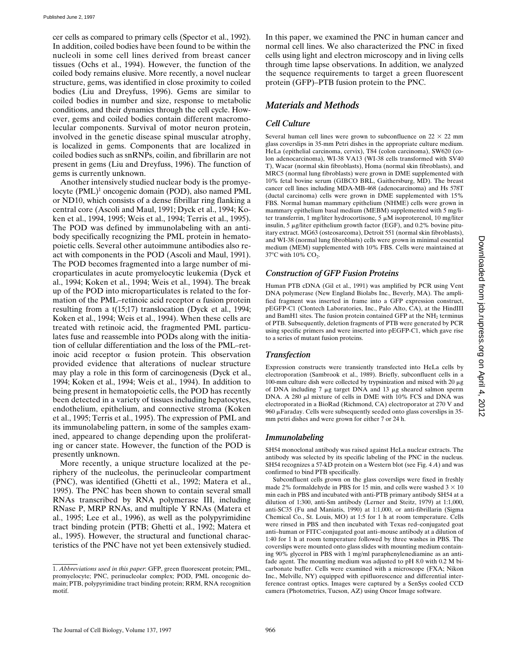cer cells as compared to primary cells (Spector et al., 1992). In addition, coiled bodies have been found to be within the nucleoli in some cell lines derived from breast cancer tissues (Ochs et al., 1994). However, the function of the coiled body remains elusive. More recently, a novel nuclear structure, gems, was identified in close proximity to coiled bodies (Liu and Dreyfuss, 1996). Gems are similar to coiled bodies in number and size, response to metabolic conditions, and their dynamics through the cell cycle. However, gems and coiled bodies contain different macromolecular components. Survival of motor neuron protein, involved in the genetic disease spinal muscular atrophy, is localized in gems. Components that are localized in coiled bodies such as snRNPs, coilin, and fibrillarin are not present in gems (Liu and Dreyfuss, 1996). The function of gems is currently unknown.

Another intensively studied nuclear body is the promyelocyte (PML)<sup>1</sup> oncogenic domain (POD), also named PML or ND10, which consists of a dense fibrillar ring flanking a central core (Ascoli and Maul, 1991; Dyck et al., 1994; Koken et al., 1994, 1995; Weis et al., 1994; Terris et al., 1995). The POD was defined by immunolabeling with an antibody specifically recognizing the PML protein in hematopoietic cells. Several other autoimmune antibodies also react with components in the POD (Ascoli and Maul, 1991). The POD becomes fragmented into a large number of microparticulates in acute promyelocytic leukemia (Dyck et al., 1994; Koken et al., 1994; Weis et al., 1994). The break up of the POD into microparticulates is related to the formation of the PML–retinoic acid receptor  $\alpha$  fusion protein resulting from a t(15;17) translocation (Dyck et al., 1994; Koken et al., 1994; Weis et al., 1994). When these cells are treated with retinoic acid, the fragmented PML particulates fuse and reassemble into PODs along with the initiation of cellular differentiation and the loss of the PML–retinoic acid receptor  $\alpha$  fusion protein. This observation provided evidence that alterations of nuclear structure may play a role in this form of carcinogenesis (Dyck et al., 1994; Koken et al., 1994; Weis et al., 1994). In addition to being present in hematopoietic cells, the POD has recently been detected in a variety of tissues including hepatocytes, endothelium, epithelium, and connective stroma (Koken et al., 1995; Terris et al., 1995). The expression of PML and its immunolabeling pattern, in some of the samples examined, appeared to change depending upon the proliferating or cancer state. However, the function of the POD is presently unknown.

More recently, a unique structure localized at the periphery of the nucleolus, the perinucleolar compartment (PNC), was identified (Ghetti et al., 1992; Matera et al., 1995). The PNC has been shown to contain several small RNAs transcribed by RNA polymerase III, including RNase P, MRP RNAs, and multiple Y RNAs (Matera et al., 1995; Lee et al., 1996), as well as the polypyrimidine tract binding protein (PTB; Ghetti et al., 1992; Matera et al., 1995). However, the structural and functional characteristics of the PNC have not yet been extensively studied.

In this paper, we examined the PNC in human cancer and normal cell lines. We also characterized the PNC in fixed cells using light and electron microscopy and in living cells through time lapse observations. In addition, we analyzed the sequence requirements to target a green fluorescent protein (GFP)–PTB fusion protein to the PNC.

### *Materials and Methods*

### *Cell Culture*

Several human cell lines were grown to subconfluence on  $22 \times 22$  mm glass coverslips in 35-mm Petri dishes in the appropriate culture medium. HeLa (epithelial carcinoma, cervix), T84 (colon carcinoma), SW620 (colon adenocarcinoma), WI-38 VA13 (WI-38 cells transformed with SV40 T), Wacar (normal skin fibroblasts), Homa (normal skin fibroblasts), and MRC5 (normal lung fibroblasts) were grown in DME supplemented with 10% fetal bovine serum (GIBCO BRL, Gaithersburg, MD). The breast cancer cell lines including MDA-MB-468 (adenocarcinoma) and Hs 578T (ductal carcinoma) cells were grown in DME supplemented with 15% FBS. Normal human mammary epithelium (NHME) cells were grown in mammary epithelium basal medium (MEBM) supplemented with 5 mg/liter transferrin, 1 mg/liter hydrocortisone, 5  $\mu$ M isoproterenol, 10 mg/liter insulin,  $5 \mu g/l$ iter epithelium growth factor (EGF), and 0.2% bovine pituitary extract. MG63 (osteosarcoma), Detroit 551 (normal skin fibroblasts), and WI-38 (normal lung fibroblasts) cells were grown in minimal essential medium (MEM) supplemented with 10% FBS. Cells were maintained at 37 $\rm{^{\circ}C}$  with 10% CO<sub>2</sub>.

### *Construction of GFP Fusion Proteins*

Human PTB cDNA (Gil et al., 1991) was amplified by PCR using Vent DNA polymerase (New England Biolabs Inc., Beverly, MA). The amplified fragment was inserted in frame into a GFP expression construct, pEGFP-C1 (Clontech Laboratories, Inc., Palo Alto, CA), at the HindIII and BamH1 sites. The fusion protein contained GFP at the NH<sub>2</sub> terminus of PTB. Subsequently, deletion fragments of PTB were generated by PCR using specific primers and were inserted into pEGFP-C1, which gave rise to a series of mutant fusion proteins.

### *Transfection*

Expression constructs were transiently transfected into HeLa cells by electroporation (Sambrook et al., 1989). Briefly, subconfluent cells in a 100-mm culture dish were collected by trypsinization and mixed with 20  $\mu$ g of DNA including 7  $\mu$ g target DNA and 13  $\mu$ g sheared salmon sperm DNA. A 280 µl mixture of cells in DME with 10% FCS and DNA was electroporated in a BioRad (Richmond, CA) electroporator at 270 V and  $960 \mu$ Faraday. Cells were subsequently seeded onto glass coverslips in 35mm petri dishes and were grown for either 7 or 24 h.

### *Immunolabeling*

SH54 monoclonal antibody was raised against HeLa nuclear extracts. The antibody was selected by its specific labeling of the PNC in the nucleus. SH54 recognizes a 57-kD protein on a Western blot (see Fig. 4 *A*) and was confirmed to bind PTB specifically.

Subconfluent cells grown on the glass coverslips were fixed in freshly made 2% formaldehyde in PBS for 15 min, and cells were washed  $3 \times 10$ min each in PBS and incubated with anti-PTB primary antibody SH54 at a dilution of 1:300, anti-Sm antibody (Lerner and Steitz, 1979) at 1:1,000, anti-SC35 (Fu and Maniatis, 1990) at 1:1,000, or anti-fibrillarin (Sigma Chemical Co., St. Louis, MO) at 1:5 for 1 h at room temperature. Cells were rinsed in PBS and then incubated with Texas red–conjugated goat anti–human or FITC-conjugated goat anti–mouse antibody at a dilution of 1:40 for 1 h at room temperature followed by three washes in PBS. The coverslips were mounted onto glass slides with mounting medium containing 90% glycerol in PBS with 1 mg/ml paraphenylenediamine as an antifade agent. The mounting medium was adjusted to pH 8.0 with 0.2 M bicarbonate buffer. Cells were examined with a microscope (FXA; Nikon Inc., Melville, NY) equipped with epifluorescence and differential interference contrast optics. Images were captured by a SenSys cooled CCD camera (Photometrics, Tucson, AZ) using Oncor Image software.

<sup>1.</sup> *Abbreviations used in this paper*: GFP, green fluorescent protein; PML, promyelocyte; PNC, perinucleolar complex; POD, PML oncogenic domain; PTB, polypyrimidine tract binding protein; RRM, RNA recognition motif.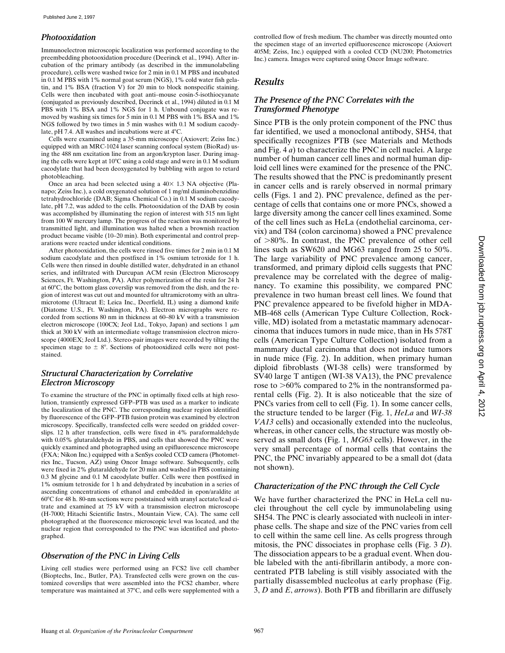### *Photooxidation*

Immunoelectron microscopic localization was performed according to the preembedding photooxidation procedure (Deerinck et al., 1994). After incubation of the primary antibody (as described in the immunolabeling procedure), cells were washed twice for 2 min in 0.1 M PBS and incubated in 0.1 M PBS with 1% normal goat serum (NGS), 1% cold water fish gelatin, and 1% BSA (fraction V) for 20 min to block nonspecific staining. Cells were then incubated with goat anti–mouse eosin-5-isothiocyanate (conjugated as previously described, Deerinck et al., 1994) diluted in 0.1 M PBS with 1% BSA and 1% NGS for 1 h. Unbound conjugate was removed by washing six times for 5 min in 0.1 M PBS with 1% BSA and 1% NGS followed by two times in 5 min washes with 0.1 M sodium cacodylate, pH 7.4. All washes and incubations were at  $4^{\circ}$ C.

Cells were examined using a 35-mm microscope (Axiovert; Zeiss Inc.) equipped with an MRC-1024 laser scanning confocal system (BioRad) using the 488 nm excitation line from an argon/krypton laser. During imaging the cells were kept at 10°C using a cold stage and were in 0.1 M sodium cacodylate that had been deoxygenated by bubbling with argon to retard photobleaching.

Once an area had been selected using a  $40\times$  1.3 NA objective (Planapo; Zeiss Inc.), a cold oxygenated solution of 1 mg/ml diaminobenzidine tetrahydrochloride (DAB; Sigma Chemical Co.) in 0.1 M sodium cacodylate, pH 7.2, was added to the cells. Photooxidation of the DAB by eosin was accomplished by illuminating the region of interest with 515 nm light from 100 W mercury lamp. The progress of the reaction was monitored by transmitted light, and illumination was halted when a brownish reaction product became visible (10–20 min). Both experimental and control preparations were reacted under identical conditions.

After photooxidation, the cells were rinsed five times for 2 min in 0.1 M sodium cacodylate and then postfixed in 1% osmium tetroxide for 1 h. Cells were then rinsed in double distilled water, dehydrated in an ethanol series, and infiltrated with Durcupan ACM resin (Electron Microscopy Sciences, Ft. Washington, PA). After polymerization of the resin for 24 h at  $60^{\circ}$ C, the bottom glass coverslip was removed from the dish, and the region of interest was cut out and mounted for ultramicrotomy with an ultramicrotome (Ultracut E; Leica Inc., Deerfield, IL) using a diamond knife (Diatome U.S., Ft. Washington, PA). Electron micrographs were recorded from sections 80 nm in thickness at 60–80 kV with a transmission electron microscope (100CX; Jeol Ltd., Tokyo, Japan) and sections 1  $\mu$ m thick at 300 kV with an intermediate voltage transmission electron microscope (4000EX; Jeol Ltd.). Stereo-pair images were recorded by tilting the specimen stage to  $\pm$  8°. Sections of photooxidized cells were not poststained.

### *Structural Characterization by Correlative Electron Microscopy*

To examine the structure of the PNC in optimally fixed cells at high resolution, transiently expressed GFP–PTB was used as a marker to indicate the localization of the PNC. The corresponding nuclear region identified by fluorescence of the GFP–PTB fusion protein was examined by electron microscopy. Specifically, transfected cells were seeded on gridded coverslips. 12 h after transfection, cells were fixed in 4% paraformaldehyde with 0.05% glutaraldehyde in PBS, and cells that showed the PNC were quickly examined and photographed using an epifluorescence microscope (FXA; Nikon Inc.) equipped with a SenSys cooled CCD camera (Photometrics Inc., Tucson, AZ) using Oncor Image software. Subsequently, cells were fixed in 2% glutaraldehyde for 20 min and washed in PBS containing 0.3 M glycine and 0.1 M cacodylate buffer. Cells were then postfixed in 1% osmium tetroxide for 1 h and dehydrated by incubation in a series of ascending concentrations of ethanol and embedded in epon/araldite at  $60^{\circ}$ C for 48 h. 80-nm sections were poststained with uranyl acetate/lead citrate and examined at 75 kV with a transmission electron microscope (H-7000; Hitachi Scientific Instrs., Mountain View, CA). The same cell photographed at the fluorescence microscopic level was located, and the nuclear region that corresponded to the PNC was identified and photographed.

### *Observation of the PNC in Living Cells*

Living cell studies were performed using an FCS2 live cell chamber (Bioptechs, Inc., Butler, PA). Transfected cells were grown on the customized coverslips that were assembled into the FCS2 chamber, where temperature was maintained at  $37^{\circ}$ C, and cells were supplemented with a controlled flow of fresh medium. The chamber was directly mounted onto the specimen stage of an inverted epifluorescence microscope (Axiovert 405M; Zeiss, Inc.) equipped with a cooled CCD (NU200; Photometrics Inc.) camera. Images were captured using Oncor Image software.

## *Results*

### *The Presence of the PNC Correlates with the Transformed Phenotype*

Since PTB is the only protein component of the PNC thus far identified, we used a monoclonal antibody, SH54, that specifically recognizes PTB (see Materials and Methods and Fig. 4 *a*) to characterize the PNC in cell nuclei. A large number of human cancer cell lines and normal human diploid cell lines were examined for the presence of the PNC. The results showed that the PNC is predominantly present in cancer cells and is rarely observed in normal primary cells (Figs. 1 and 2). PNC prevalence, defined as the percentage of cells that contains one or more PNCs, showed a large diversity among the cancer cell lines examined. Some of the cell lines such as HeLa (endothelial carcinoma, cervix) and T84 (colon carcinoma) showed a PNC prevalence of  $>80\%$ . In contrast, the PNC prevalence of other cell lines such as SW620 and MG63 ranged from 25 to 50%. The large variability of PNC prevalence among cancer, transformed, and primary diploid cells suggests that PNC prevalence may be correlated with the degree of malignancy. To examine this possibility, we compared PNC prevalence in two human breast cell lines. We found that PNC prevalence appeared to be fivefold higher in MDA-MB-468 cells (American Type Culture Collection, Rockville, MD) isolated from a metastatic mammary adenocarcinoma that induces tumors in nude mice, than in Hs 578T cells (American Type Culture Collection) isolated from a mammary ductal carcinoma that does not induce tumors in nude mice (Fig. 2). In addition, when primary human diploid fibroblasts (WI-38 cells) were transformed by SV40 large T antigen (WI-38 VA13), the PNC prevalence rose to  $>60\%$  compared to 2% in the nontransformed parental cells (Fig. 2). It is also noticeable that the size of PNCs varies from cell to cell (Fig. 1). In some cancer cells, the structure tended to be larger (Fig. 1, *HeLa* and *WI*-*38 VA13* cells) and occasionally extended into the nucleolus, whereas, in other cancer cells, the structure was mostly observed as small dots (Fig. 1, *MG63* cells). However, in the very small percentage of normal cells that contains the PNC, the PNC invariably appeared to be a small dot (data not shown).

### *Characterization of the PNC through the Cell Cycle*

We have further characterized the PNC in HeLa cell nuclei throughout the cell cycle by immunolabeling using SH54. The PNC is clearly associated with nucleoli in interphase cells. The shape and size of the PNC varies from cell to cell within the same cell line. As cells progress through mitosis, the PNC dissociates in prophase cells (Fig. 3 *D*). The dissociation appears to be a gradual event. When double labeled with the anti-fibrillarin antibody, a more concentrated PTB labeling is still visibly associated with the partially disassembled nucleolus at early prophase (Fig. 3, *D* and *E*, *arrows*). Both PTB and fibrillarin are diffusely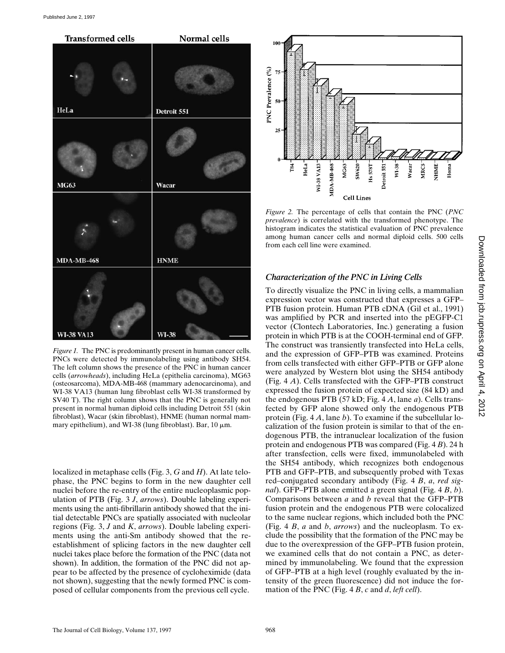

*Figure 1.* The PNC is predominantly present in human cancer cells. PNCs were detected by immunolabeling using antibody SH54. The left column shows the presence of the PNC in human cancer cells (*arrowheads*), including HeLa (epithelia carcinoma), MG63 (osteosarcoma), MDA-MB-468 (mammary adenocarcinoma), and WI-38 VA13 (human lung fibroblast cells WI-38 transformed by SV40 T). The right column shows that the PNC is generally not present in normal human diploid cells including Detroit 551 (skin fibroblast), Wacar (skin fibroblast), HNME (human normal mammary epithelium), and WI-38 (lung fibroblast). Bar,  $10 \mu m$ .

localized in metaphase cells (Fig. 3, *G* and *H*). At late telophase, the PNC begins to form in the new daughter cell nuclei before the re-entry of the entire nucleoplasmic population of PTB (Fig. 3 *J*, *arrows*). Double labeling experiments using the anti-fibrillarin antibody showed that the initial detectable PNCs are spatially associated with nucleolar regions (Fig. 3, *J* and *K*, *arrows*). Double labeling experiments using the anti-Sm antibody showed that the reestablishment of splicing factors in the new daughter cell nuclei takes place before the formation of the PNC (data not shown). In addition, the formation of the PNC did not appear to be affected by the presence of cycloheximide (data not shown), suggesting that the newly formed PNC is composed of cellular components from the previous cell cycle.



*Figure 2.* The percentage of cells that contain the PNC (*PNC prevalence*) is correlated with the transformed phenotype. The histogram indicates the statistical evaluation of PNC prevalence among human cancer cells and normal diploid cells. 500 cells from each cell line were examined.

### *Characterization of the PNC in Living Cells*

To directly visualize the PNC in living cells, a mammalian expression vector was constructed that expresses a GFP– PTB fusion protein. Human PTB cDNA (Gil et al., 1991) was amplified by PCR and inserted into the pEGFP-C1 vector (Clontech Laboratories, Inc.) generating a fusion protein in which PTB is at the COOH-terminal end of GFP. The construct was transiently transfected into HeLa cells, and the expression of GFP–PTB was examined. Proteins from cells transfected with either GFP–PTB or GFP alone were analyzed by Western blot using the SH54 antibody (Fig. 4 *A*). Cells transfected with the GFP–PTB construct expressed the fusion protein of expected size (84 kD) and the endogenous PTB (57 kD; Fig. 4 *A*, lane *a*). Cells transfected by GFP alone showed only the endogenous PTB protein (Fig. 4 *A*, lane *b*). To examine if the subcellular localization of the fusion protein is similar to that of the endogenous PTB, the intranuclear localization of the fusion protein and endogenous PTB was compared (Fig. 4 *B*). 24 h after transfection, cells were fixed, immunolabeled with the SH54 antibody, which recognizes both endogenous PTB and GFP–PTB, and subsequently probed with Texas red–conjugated secondary antibody (Fig. 4 *B*, *a*, *red signal*). GFP–PTB alone emitted a green signal (Fig. 4 *B*, *b*). Comparisons between *a* and *b* reveal that the GFP–PTB fusion protein and the endogenous PTB were colocalized to the same nuclear regions, which included both the PNC (Fig. 4 *B*, *a* and *b*, *arrows*) and the nucleoplasm. To exclude the possibility that the formation of the PNC may be due to the overexpression of the GFP–PTB fusion protein, we examined cells that do not contain a PNC, as determined by immunolabeling. We found that the expression of GFP–PTB at a high level (roughly evaluated by the intensity of the green fluorescence) did not induce the formation of the PNC (Fig. 4 *B*, *c* and *d*, *left cell*).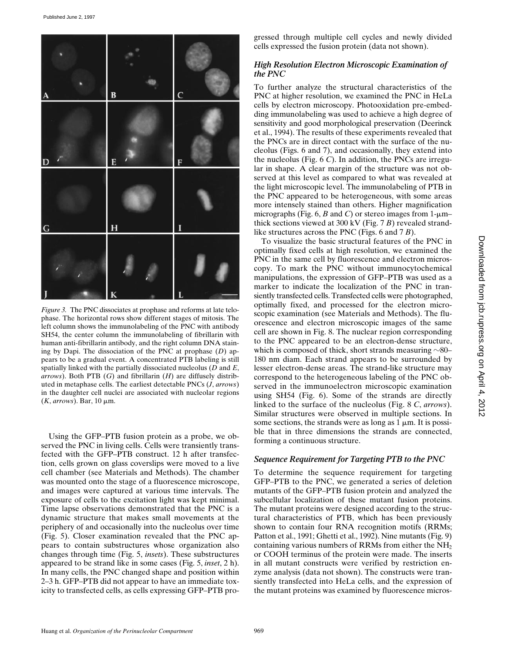

*Figure 3.* The PNC dissociates at prophase and reforms at late telophase. The horizontal rows show different stages of mitosis. The left column shows the immunolabeling of the PNC with antibody SH54, the center column the immunolabeling of fibrillarin with human anti-fibrillarin antibody, and the right column DNA staining by Dapi. The dissociation of the PNC at prophase (*D*) appears to be a gradual event. A concentrated PTB labeling is still spatially linked with the partially dissociated nucleolus (*D* and *E*, *arrows*). Both PTB (*G*) and fibrillarin (*H*) are diffusely distributed in metaphase cells. The earliest detectable PNCs (*J*, *arrows*) in the daughter cell nuclei are associated with nucleolar regions  $(K, \text{arrows})$ . Bar, 10  $\mu$ m.

Using the GFP–PTB fusion protein as a probe, we observed the PNC in living cells. Cells were transiently transfected with the GFP–PTB construct. 12 h after transfection, cells grown on glass coverslips were moved to a live cell chamber (see Materials and Methods). The chamber was mounted onto the stage of a fluorescence microscope, and images were captured at various time intervals. The exposure of cells to the excitation light was kept minimal. Time lapse observations demonstrated that the PNC is a dynamic structure that makes small movements at the periphery of and occasionally into the nucleolus over time (Fig. 5). Closer examination revealed that the PNC appears to contain substructures whose organization also changes through time (Fig. 5, *insets*). These substructures appeared to be strand like in some cases (Fig. 5, *inset*, 2 h). In many cells, the PNC changed shape and position within 2–3 h. GFP–PTB did not appear to have an immediate toxicity to transfected cells, as cells expressing GFP–PTB pro-

gressed through multiple cell cycles and newly divided cells expressed the fusion protein (data not shown).

### *High Resolution Electron Microscopic Examination of the PNC*

To further analyze the structural characteristics of the PNC at higher resolution, we examined the PNC in HeLa cells by electron microscopy. Photooxidation pre-embedding immunolabeling was used to achieve a high degree of sensitivity and good morphological preservation (Deerinck et al., 1994). The results of these experiments revealed that the PNCs are in direct contact with the surface of the nucleolus (Figs. 6 and 7), and occasionally, they extend into the nucleolus (Fig. 6 *C*). In addition, the PNCs are irregular in shape. A clear margin of the structure was not observed at this level as compared to what was revealed at the light microscopic level. The immunolabeling of PTB in the PNC appeared to be heterogeneous, with some areas more intensely stained than others. Higher magnification micrographs (Fig. 6, *B* and *C*) or stereo images from  $1-\mu$ m– thick sections viewed at 300 kV (Fig. 7 *B*) revealed strandlike structures across the PNC (Figs. 6 and 7 *B*).

To visualize the basic structural features of the PNC in optimally fixed cells at high resolution, we examined the PNC in the same cell by fluorescence and electron microscopy. To mark the PNC without immunocytochemical manipulations, the expression of GFP–PTB was used as a marker to indicate the localization of the PNC in transiently transfected cells. Transfected cells were photographed, optimally fixed, and processed for the electron microscopic examination (see Materials and Methods). The fluorescence and electron microscopic images of the same cell are shown in Fig. 8. The nuclear region corresponding to the PNC appeared to be an electron-dense structure, which is composed of thick, short strands measuring  $\sim80-$ 180 nm diam. Each strand appears to be surrounded by lesser electron-dense areas. The strand-like structure may correspond to the heterogeneous labeling of the PNC observed in the immunoelectron microscopic examination using SH54 (Fig. 6). Some of the strands are directly linked to the surface of the nucleolus (Fig. 8 *C*, *arrows*). Similar structures were observed in multiple sections. In some sections, the strands were as long as  $1 \mu m$ . It is possible that in three dimensions the strands are connected, forming a continuous structure.

### *Sequence Requirement for Targeting PTB to the PNC*

To determine the sequence requirement for targeting GFP–PTB to the PNC, we generated a series of deletion mutants of the GFP–PTB fusion protein and analyzed the subcellular localization of these mutant fusion proteins. The mutant proteins were designed according to the structural characteristics of PTB, which has been previously shown to contain four RNA recognition motifs (RRMs; Patton et al., 1991; Ghetti et al., 1992). Nine mutants (Fig. 9) containing various numbers of RRMs from either the  $NH<sub>2</sub>$ or COOH terminus of the protein were made. The inserts in all mutant constructs were verified by restriction enzyme analysis (data not shown). The constructs were transiently transfected into HeLa cells, and the expression of the mutant proteins was examined by fluorescence micros-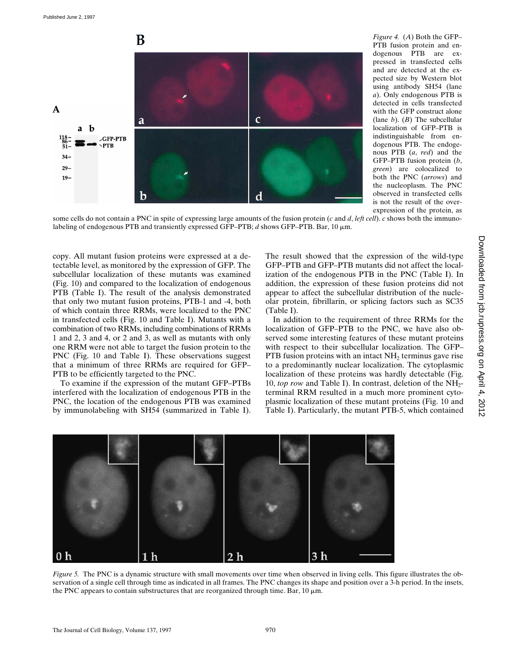

*Figure 4.* (*A*) Both the GFP– PTB fusion protein and endogenous PTB are expressed in transfected cells and are detected at the expected size by Western blot using antibody SH54 (lane *a*). Only endogenous PTB is detected in cells transfected with the GFP construct alone (lane *b*). (*B*) The subcellular localization of GFP–PTB is indistinguishable from endogenous PTB. The endogenous PTB (*a*, *red*) and the GFP–PTB fusion protein (*b*, *green*) are colocalized to both the PNC (*arrows*) and the nucleoplasm. The PNC observed in transfected cells is not the result of the overexpression of the protein, as

some cells do not contain a PNC in spite of expressing large amounts of the fusion protein (*c* and *d*, *left cell*). *c* shows both the immunolabeling of endogenous PTB and transiently expressed GFP–PTB; *d* shows GFP–PTB. Bar, 10 mm.

copy. All mutant fusion proteins were expressed at a detectable level, as monitored by the expression of GFP. The subcellular localization of these mutants was examined (Fig. 10) and compared to the localization of endogenous PTB (Table I). The result of the analysis demonstrated that only two mutant fusion proteins, PTB-1 and -4, both of which contain three RRMs, were localized to the PNC in transfected cells (Fig. 10 and Table I). Mutants with a combination of two RRMs, including combinations of RRMs 1 and 2, 3 and 4, or 2 and 3, as well as mutants with only one RRM were not able to target the fusion protein to the PNC (Fig. 10 and Table I). These observations suggest that a minimum of three RRMs are required for GFP– PTB to be efficiently targeted to the PNC.

To examine if the expression of the mutant GFP–PTBs interfered with the localization of endogenous PTB in the PNC, the location of the endogenous PTB was examined by immunolabeling with SH54 (summarized in Table I).

The result showed that the expression of the wild-type GFP–PTB and GFP–PTB mutants did not affect the localization of the endogenous PTB in the PNC (Table I). In addition, the expression of these fusion proteins did not appear to affect the subcellular distribution of the nucleolar protein, fibrillarin, or splicing factors such as SC35 (Table I).

In addition to the requirement of three RRMs for the localization of GFP–PTB to the PNC, we have also observed some interesting features of these mutant proteins with respect to their subcellular localization. The GFP– PTB fusion proteins with an intact  $NH<sub>2</sub>$  terminus gave rise to a predominantly nuclear localization. The cytoplasmic localization of these proteins was hardly detectable (Fig. 10, *top row* and Table I). In contrast, deletion of the NH<sub>2</sub>terminal RRM resulted in a much more prominent cytoplasmic localization of these mutant proteins (Fig. 10 and Table I). Particularly, the mutant PTB-5, which contained



*Figure 5.* The PNC is a dynamic structure with small movements over time when observed in living cells. This figure illustrates the observation of a single cell through time as indicated in all frames. The PNC changes its shape and position over a 3-h period. In the insets, the PNC appears to contain substructures that are reorganized through time. Bar,  $10 \mu m$ .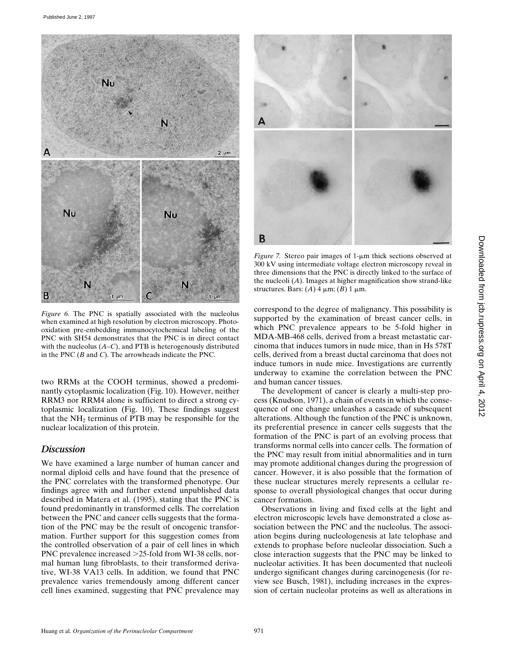

*Figure 6.* The PNC is spatially associated with the nucleolus when examined at high resolution by electron microscopy. Photooxidation pre-embedding immunocytochemical labeling of the PNC with SH54 demonstrates that the PNC is in direct contact with the nucleolus (*A–C*), and PTB is heterogenously distributed in the PNC (*B* and *C*). The arrowheads indicate the PNC.

two RRMs at the COOH terminus, showed a predominantly cytoplasmic localization (Fig. 10). However, neither RRM3 nor RRM4 alone is sufficient to direct a strong cytoplasmic localization (Fig. 10). These findings suggest that the  $NH<sub>2</sub>$  terminus of PTB may be responsible for the nuclear localization of this protein.

### *Discussion*

We have examined a large number of human cancer and normal diploid cells and have found that the presence of the PNC correlates with the transformed phenotype. Our findings agree with and further extend unpublished data described in Matera et al. (1995), stating that the PNC is found predominantly in transformed cells. The correlation between the PNC and cancer cells suggests that the formation of the PNC may be the result of oncogenic transformation. Further support for this suggestion comes from the controlled observation of a pair of cell lines in which PNC prevalence increased  $>25$ -fold from WI-38 cells, normal human lung fibroblasts, to their transformed derivative, WI-38 VA13 cells. In addition, we found that PNC prevalence varies tremendously among different cancer cell lines examined, suggesting that PNC prevalence may



*Figure 7.* Stereo pair images of  $1$ - $\mu$ m thick sections observed at 300 kV using intermediate voltage electron microscopy reveal in three dimensions that the PNC is directly linked to the surface of the nucleoli (*A*). Images at higher magnification show strand-like structures. Bars:  $(A)$  4  $\mu$ m;  $(B)$  1  $\mu$ m.

correspond to the degree of malignancy. This possibility is supported by the examination of breast cancer cells, in which PNC prevalence appears to be 5-fold higher in MDA-MB-468 cells, derived from a breast metastatic carcinoma that induces tumors in nude mice, than in Hs 578T cells, derived from a breast ductal carcinoma that does not induce tumors in nude mice. Investigations are currently underway to examine the correlation between the PNC and human cancer tissues.

The development of cancer is clearly a multi-step process (Knudson, 1971), a chain of events in which the consequence of one change unleashes a cascade of subsequent alterations. Although the function of the PNC is unknown, its preferential presence in cancer cells suggests that the formation of the PNC is part of an evolving process that transforms normal cells into cancer cells. The formation of the PNC may result from initial abnormalities and in turn may promote additional changes during the progression of cancer. However, it is also possible that the formation of these nuclear structures merely represents a cellular response to overall physiological changes that occur during cancer formation.

Observations in living and fixed cells at the light and electron microscopic levels have demonstrated a close association between the PNC and the nucleolus. The association begins during nucleologenesis at late telophase and extends to prophase before nucleolar dissociation. Such a close interaction suggests that the PNC may be linked to nucleolar activities. It has been documented that nucleoli undergo significant changes during carcinogenesis (for review see Busch, 1981), including increases in the expression of certain nucleolar proteins as well as alterations in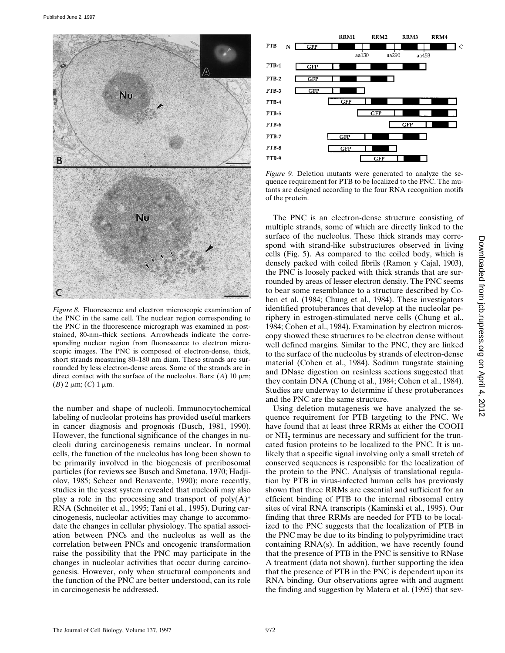

*Figure 8.* Fluorescence and electron microscopic examination of the PNC in the same cell. The nuclear region corresponding to the PNC in the fluorescence micrograph was examined in poststained, 80-nm–thick sections. Arrowheads indicate the corresponding nuclear region from fluorescence to electron microscopic images. The PNC is composed of electron-dense, thick, short strands measuring 80–180 nm diam. These strands are surrounded by less electron-dense areas. Some of the strands are in direct contact with the surface of the nucleolus. Bars:  $(A)$  10  $\mu$ m;  $(B)$  2  $\mu$ m;  $(C)$  1  $\mu$ m.

the number and shape of nucleoli. Immunocytochemical labeling of nucleolar proteins has provided useful markers in cancer diagnosis and prognosis (Busch, 1981, 1990). However, the functional significance of the changes in nucleoli during carcinogenesis remains unclear. In normal cells, the function of the nucleolus has long been shown to be primarily involved in the biogenesis of preribosomal particles (for reviews see Busch and Smetana, 1970; Hadjiolov, 1985; Scheer and Benavente, 1990); more recently, studies in the yeast system revealed that nucleoli may also play a role in the processing and transport of  $poly(A)^+$ RNA (Schneiter et al., 1995; Tani et al., 1995). During carcinogenesis, nucleolar activities may change to accommodate the changes in cellular physiology. The spatial association between PNCs and the nucleolus as well as the correlation between PNCs and oncogenic transformation raise the possibility that the PNC may participate in the changes in nucleolar activities that occur during carcinogenesis. However, only when structural components and the function of the PNC are better understood, can its role in carcinogenesis be addressed.



*Figure 9.* Deletion mutants were generated to analyze the sequence requirement for PTB to be localized to the PNC. The mutants are designed according to the four RNA recognition motifs of the protein.

The PNC is an electron-dense structure consisting of multiple strands, some of which are directly linked to the surface of the nucleolus. These thick strands may correspond with strand-like substructures observed in living cells (Fig. 5). As compared to the coiled body, which is densely packed with coiled fibrils (Ramon y Cajal, 1903), the PNC is loosely packed with thick strands that are surrounded by areas of lesser electron density. The PNC seems to bear some resemblance to a structure described by Cohen et al. (1984; Chung et al., 1984). These investigators identified protuberances that develop at the nucleolar periphery in estrogen-stimulated nerve cells (Chung et al., 1984; Cohen et al., 1984). Examination by electron microscopy showed these structures to be electron dense without well defined margins. Similar to the PNC, they are linked to the surface of the nucleolus by strands of electron-dense material (Cohen et al., 1984). Sodium tungstate staining and DNase digestion on resinless sections suggested that they contain DNA (Chung et al., 1984; Cohen et al., 1984). Studies are underway to determine if these protuberances and the PNC are the same structure.

Using deletion mutagenesis we have analyzed the sequence requirement for PTB targeting to the PNC. We have found that at least three RRMs at either the COOH or  $NH<sub>2</sub>$  terminus are necessary and sufficient for the truncated fusion proteins to be localized to the PNC. It is unlikely that a specific signal involving only a small stretch of conserved sequences is responsible for the localization of the protein to the PNC. Analysis of translational regulation by PTB in virus-infected human cells has previously shown that three RRMs are essential and sufficient for an efficient binding of PTB to the internal ribosomal entry sites of viral RNA transcripts (Kaminski et al., 1995). Our finding that three RRMs are needed for PTB to be localized to the PNC suggests that the localization of PTB in the PNC may be due to its binding to polypyrimidine tract containing RNA(s). In addition, we have recently found that the presence of PTB in the PNC is sensitive to RNase A treatment (data not shown), further supporting the idea that the presence of PTB in the PNC is dependent upon its RNA binding. Our observations agree with and augment the finding and suggestion by Matera et al. (1995) that sev-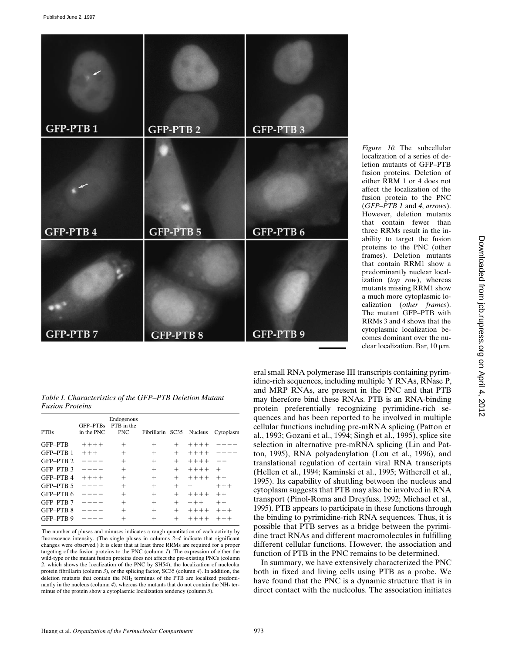

*Figure 10.* The subcellular localization of a series of deletion mutants of GFP–PTB fusion proteins. Deletion of either RRM 1 or 4 does not affect the localization of the fusion protein to the PNC (*GFP–PTB 1* and *4*, *arrows*). However, deletion mutants that contain fewer than three RRMs result in the inability to target the fusion proteins to the PNC (other frames). Deletion mutants that contain RRM1 show a predominantly nuclear localization (*top row*), whereas mutants missing RRM1 show a much more cytoplasmic localization (*other frames*). The mutant GFP–PTB with RRMs 3 and 4 shows that the cytoplasmic localization becomes dominant over the nuclear localization. Bar,  $10 \mu m$ .

*Table I. Characteristics of the GFP–PTB Deletion Mutant Fusion Proteins*

| <b>PTBs</b>      | GFP-PTBs<br>in the PNC | Endogenous<br>PTB in the<br><b>PNC</b> | Fibrillarin SC35 |        | <b>Nucleus</b> | Cytoplasm |
|------------------|------------------------|----------------------------------------|------------------|--------|----------------|-----------|
| <b>GFP-PTB</b>   | $+++++$                | $^{+}$                                 | $^{+}$           | $^{+}$ | $+++++$        |           |
| GFP-PTB 1        | $+++$                  | $^{+}$                                 | $^{+}$           | $^{+}$ | $+++++$        |           |
| GFP-PTB 2        |                        | $^{+}$                                 | $^{+}$           | $^{+}$ | $+++++$        |           |
| GFP-PTB 3        |                        | $^{+}$                                 | $^{+}$           | $^{+}$ | $+++++$        | $^{+}$    |
| GFP-PTB 4        | $+++++$                | $^{+}$                                 | $^{+}$           | $^{+}$ | $+++++$        | $++$      |
| GFP-PTB 5        |                        | $^{+}$                                 | $^{+}$           | $^{+}$ | $^{+}$         | $+++$     |
| GFP-PTB 6        |                        | $^{+}$                                 | $^{+}$           | $^{+}$ | $+++++$        | $++$      |
| GFP-PTB 7        |                        | $^{+}$                                 | $^{+}$           | $^{+}$ | $+ + +$        | $++$      |
| <b>GFP-PTB 8</b> |                        | $^{+}$                                 | $^{+}$           | $^{+}$ | $+++++$        | $++ +$    |
| GFP-PTB 9        |                        |                                        |                  |        | $+++++$        | $++++$    |

The number of pluses and minuses indicates a rough quantitation of each activity by fluorescence intensity. (The single pluses in columns *2*–*4* indicate that significant changes were observed.) It is clear that at least three RRMs are required for a proper targeting of the fusion proteins to the PNC (column *1*). The expression of either the wild-type or the mutant fusion proteins does not affect the pre-existing PNCs (column *2*, which shows the localization of the PNC by SH54), the localization of nucleolar protein fibrillarin (column *3*), or the splicing factor, SC35 (column *4*). In addition, the deletion mutants that contain the NH<sub>2</sub> terminus of the PTB are localized predominantly in the nucleus (column  $4$ ), whereas the mutants that do not contain the NH<sub>2</sub> terminus of the protein show a cytoplasmic localization tendency (column *5*).

eral small RNA polymerase III transcripts containing pyrimidine-rich sequences, including multiple Y RNAs, RNase P, and MRP RNAs, are present in the PNC and that PTB may therefore bind these RNAs. PTB is an RNA-binding protein preferentially recognizing pyrimidine-rich sequences and has been reported to be involved in multiple cellular functions including pre-mRNA splicing (Patton et al., 1993; Gozani et al., 1994; Singh et al., 1995), splice site selection in alternative pre-mRNA splicing (Lin and Patton, 1995), RNA polyadenylation (Lou et al., 1996), and translational regulation of certain viral RNA transcripts (Hellen et al., 1994; Kaminski et al., 1995; Witherell et al., 1995). Its capability of shuttling between the nucleus and cytoplasm suggests that PTB may also be involved in RNA transport (Pinol-Roma and Dreyfuss, 1992; Michael et al., 1995). PTB appears to participate in these functions through the binding to pyrimidine-rich RNA sequences. Thus, it is possible that PTB serves as a bridge between the pyrimidine tract RNAs and different macromolecules in fulfilling different cellular functions. However, the association and function of PTB in the PNC remains to be determined.

In summary, we have extensively characterized the PNC both in fixed and living cells using PTB as a probe. We have found that the PNC is a dynamic structure that is in direct contact with the nucleolus. The association initiates